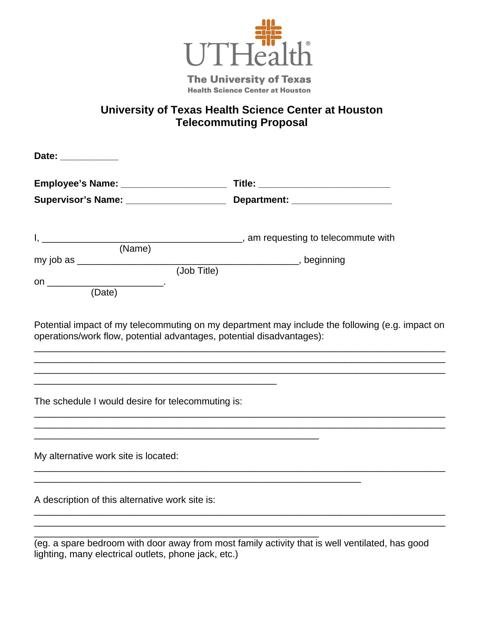

**The University of Texas Health Science Center at Houston** 

## **University of Texas Health Science Center at Houston Telecommuting Proposal**

| Employee's Name: _______________________                                                                        |                                 |
|-----------------------------------------------------------------------------------------------------------------|---------------------------------|
| Supervisor's Name: ___________________                                                                          | Department: ___________________ |
|                                                                                                                 |                                 |
|                                                                                                                 |                                 |
|                                                                                                                 |                                 |
| (Date)                                                                                                          |                                 |
| <u> 1989 - Johann Stoff, amerikansk politiker (* 1908)</u><br>The schedule I would desire for telecommuting is: |                                 |
|                                                                                                                 |                                 |
| My alternative work site is located:                                                                            |                                 |